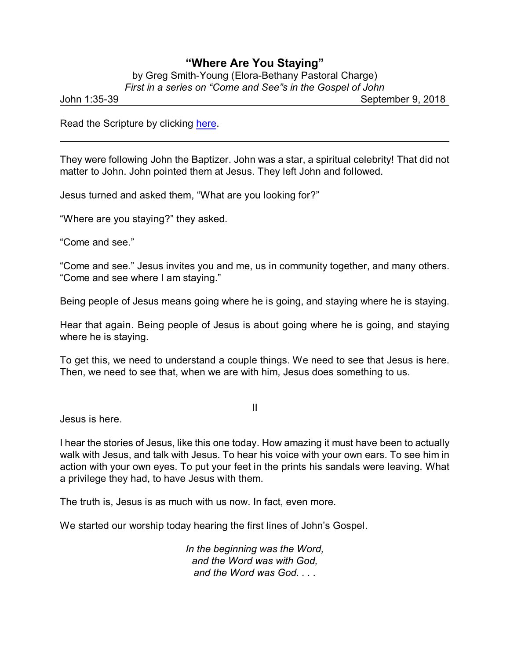## **"Where Are You Staying"**

by Greg Smith-Young (Elora-Bethany Pastoral Charge) *First in a series on "Come and See"s in the Gospel of John*

John 1:35-39 September 9, 2018

Read the Scripture by clicking [here](https://www.biblegateway.com/passage/?search=John+1%3A35-39&version=CEB).

They were following John the Baptizer. John was a star, a spiritual celebrity! That did not matter to John. John pointed them at Jesus. They left John and followed.

Jesus turned and asked them, "What are you looking for?"

"Where are you staying?" they asked.

"Come and see."

"Come and see." Jesus invites you and me, us in community together, and many others. "Come and see where I am staying."

Being people of Jesus means going where he is going, and staying where he is staying.

Hear that again. Being people of Jesus is about going where he is going, and staying where he is staying.

To get this, we need to understand a couple things. We need to see that Jesus is here. Then, we need to see that, when we are with him, Jesus does something to us.

II

Jesus is here.

I hear the stories of Jesus, like this one today. How amazing it must have been to actually walk with Jesus, and talk with Jesus. To hear his voice with your own ears. To see him in action with your own eyes. To put your feet in the prints his sandals were leaving. What a privilege they had, to have Jesus with them.

The truth is, Jesus is as much with us now. In fact, even more.

We started our worship today hearing the first lines of John's Gospel.

*In the beginning was the Word, and the Word was with God, and the Word was God. . . .*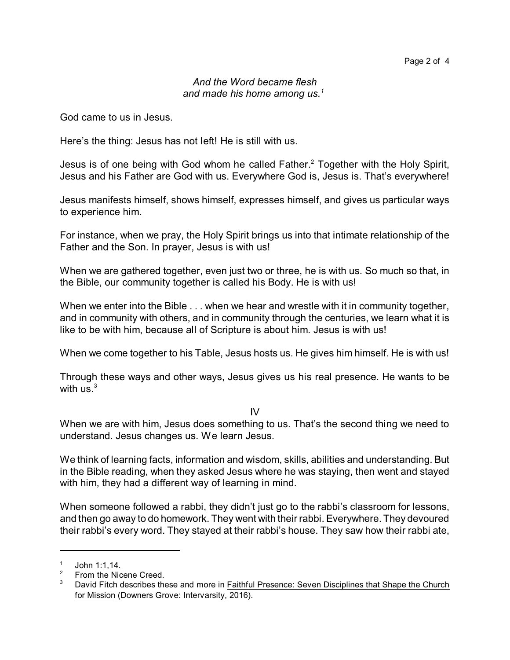## *And the Word became flesh and made his home among us.<sup>1</sup>*

God came to us in Jesus.

Here's the thing: Jesus has not left! He is still with us.

Jesus is of one being with God whom he called Father.<sup>2</sup> Together with the Holy Spirit, Jesus and his Father are God with us. Everywhere God is, Jesus is. That's everywhere!

Jesus manifests himself, shows himself, expresses himself, and gives us particular ways to experience him.

For instance, when we pray, the Holy Spirit brings us into that intimate relationship of the Father and the Son. In prayer, Jesus is with us!

When we are gathered together, even just two or three, he is with us. So much so that, in the Bible, our community together is called his Body. He is with us!

When we enter into the Bible . . . when we hear and wrestle with it in community together, and in community with others, and in community through the centuries, we learn what it is like to be with him, because all of Scripture is about him. Jesus is with us!

When we come together to his Table, Jesus hosts us. He gives him himself. He is with us!

Through these ways and other ways, Jesus gives us his real presence. He wants to be with  $\text{us.}^3$ 

IV

When we are with him, Jesus does something to us. That's the second thing we need to understand. Jesus changes us. We learn Jesus.

We think of learning facts, information and wisdom, skills, abilities and understanding. But in the Bible reading, when they asked Jesus where he was staying, then went and stayed with him, they had a different way of learning in mind.

When someone followed a rabbi, they didn't just go to the rabbi's classroom for lessons, and then go away to do homework. They went with their rabbi. Everywhere. They devoured their rabbi's every word. They stayed at their rabbi's house. They saw how their rabbi ate,

<sup>1</sup> John 1:1,14.

<sup>2</sup> From the Nicene Creed.

 $3$  David Fitch describes these and more in Faithful Presence: Seven Disciplines that Shape the Church for Mission (Downers Grove: Intervarsity, 2016).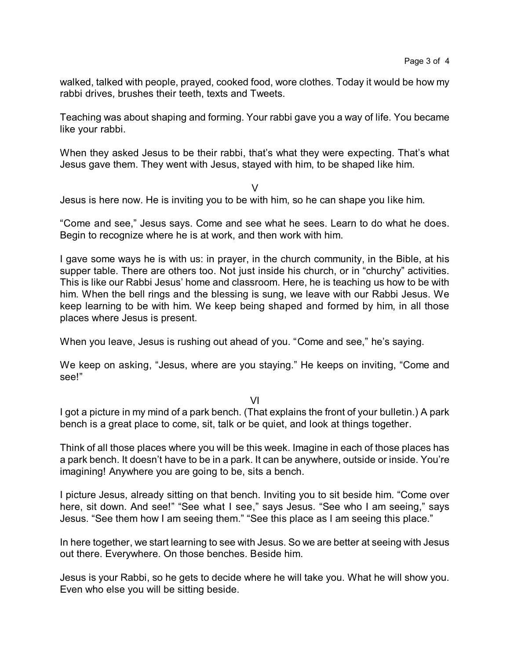walked, talked with people, prayed, cooked food, wore clothes. Today it would be how my rabbi drives, brushes their teeth, texts and Tweets.

Teaching was about shaping and forming. Your rabbi gave you a way of life. You became like your rabbi.

When they asked Jesus to be their rabbi, that's what they were expecting. That's what Jesus gave them. They went with Jesus, stayed with him, to be shaped like him.

V

Jesus is here now. He is inviting you to be with him, so he can shape you like him.

"Come and see," Jesus says. Come and see what he sees. Learn to do what he does. Begin to recognize where he is at work, and then work with him.

I gave some ways he is with us: in prayer, in the church community, in the Bible, at his supper table. There are others too. Not just inside his church, or in "churchy" activities. This is like our Rabbi Jesus' home and classroom. Here, he is teaching us how to be with him. When the bell rings and the blessing is sung, we leave with our Rabbi Jesus. We keep learning to be with him. We keep being shaped and formed by him, in all those places where Jesus is present.

When you leave, Jesus is rushing out ahead of you. "Come and see," he's saying.

We keep on asking, "Jesus, where are you staying." He keeps on inviting, "Come and see!"

VI

I got a picture in my mind of a park bench. (That explains the front of your bulletin.) A park bench is a great place to come, sit, talk or be quiet, and look at things together.

Think of all those places where you will be this week. Imagine in each of those places has a park bench. It doesn't have to be in a park. It can be anywhere, outside or inside. You're imagining! Anywhere you are going to be, sits a bench.

I picture Jesus, already sitting on that bench. Inviting you to sit beside him. "Come over here, sit down. And see!" "See what I see," says Jesus. "See who I am seeing," says Jesus. "See them how I am seeing them." "See this place as I am seeing this place."

In here together, we start learning to see with Jesus. So we are better at seeing with Jesus out there. Everywhere. On those benches. Beside him.

Jesus is your Rabbi, so he gets to decide where he will take you. What he will show you. Even who else you will be sitting beside.